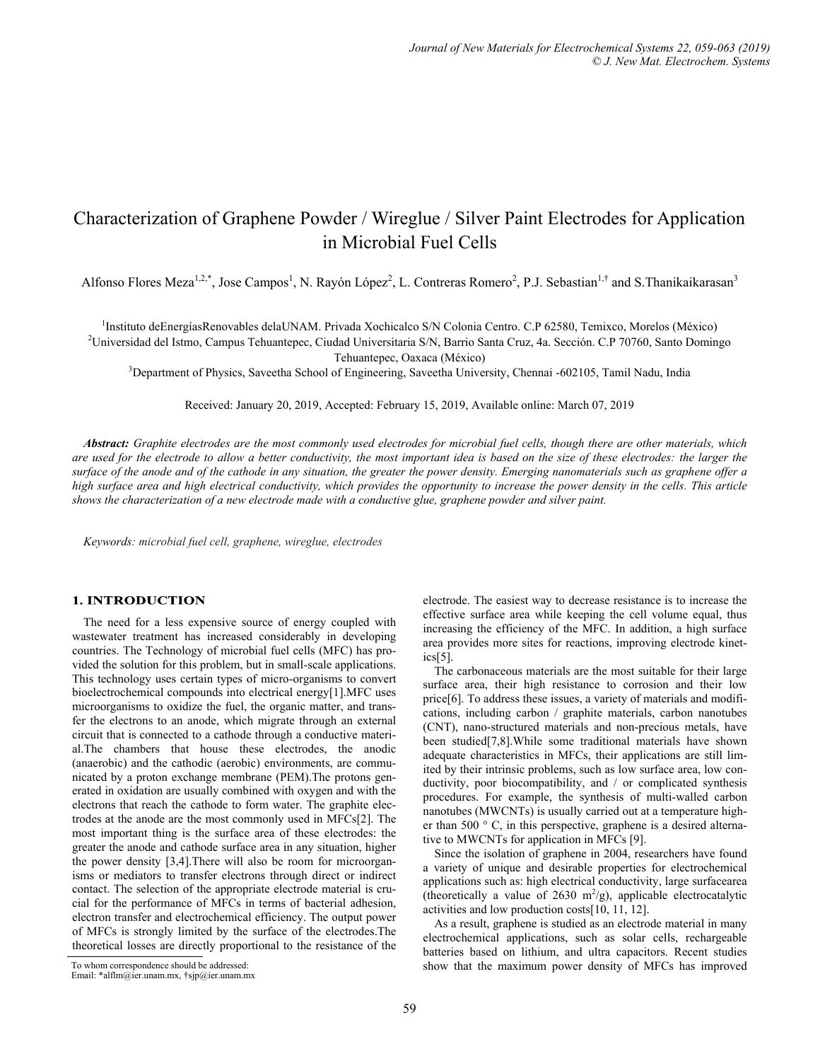# Characterization of Graphene Powder / Wireglue / Silver Paint Electrodes for Application in Microbial Fuel Cells

Alfonso Flores Meza<sup>1,2,\*</sup>, Jose Campos<sup>1</sup>, N. Rayón López<sup>2</sup>, L. Contreras Romero<sup>2</sup>, P.J. Sebastian<sup>1,†</sup> and S.Thanikaikarasan<sup>3</sup>

<sup>1</sup>Instituto deEnergíasRenovables delaUNAM. Privada Xochicalco S/N Colonia Centro. C.P 62580, Temixco, Morelos (México)

<sup>2</sup>Universidad del Istmo, Campus Tehuantepec, Ciudad Universitaria S/N, Barrio Santa Cruz, 4a. Sección. C.P 70760, Santo Domingo Tehuantepec, Oaxaca (México)

<sup>3</sup>Department of Physics, Saveetha School of Engineering, Saveetha University, Chennai -602105, Tamil Nadu, India

Received: January 20, 2019, Accepted: February 15, 2019, Available online: March 07, 2019

*Abstract: Graphite electrodes are the most commonly used electrodes for microbial fuel cells, though there are other materials, which are used for the electrode to allow a better conductivity, the most important idea is based on the size of these electrodes: the larger the surface of the anode and of the cathode in any situation, the greater the power density. Emerging nanomaterials such as graphene offer a high surface area and high electrical conductivity, which provides the opportunity to increase the power density in the cells. This article shows the characterization of a new electrode made with a conductive glue, graphene powder and silver paint.*

*Keywords: microbial fuel cell, graphene, wireglue, electrodes*

## **1. INTRODUCTION**

The need for a less expensive source of energy coupled with wastewater treatment has increased considerably in developing countries. The Technology of microbial fuel cells (MFC) has provided the solution for this problem, but in small-scale applications. This technology uses certain types of micro-organisms to convert bioelectrochemical compounds into electrical energy[1].MFC uses microorganisms to oxidize the fuel, the organic matter, and transfer the electrons to an anode, which migrate through an external circuit that is connected to a cathode through a conductive material.The chambers that house these electrodes, the anodic (anaerobic) and the cathodic (aerobic) environments, are communicated by a proton exchange membrane (PEM).The protons generated in oxidation are usually combined with oxygen and with the electrons that reach the cathode to form water. The graphite electrodes at the anode are the most commonly used in MFCs[2]. The most important thing is the surface area of these electrodes: the greater the anode and cathode surface area in any situation, higher the power density [3,4].There will also be room for microorganisms or mediators to transfer electrons through direct or indirect contact. The selection of the appropriate electrode material is crucial for the performance of MFCs in terms of bacterial adhesion, electron transfer and electrochemical efficiency. The output power of MFCs is strongly limited by the surface of the electrodes.The theoretical losses are directly proportional to the resistance of the

The carbonaceous materials are the most suitable for their large surface area, their high resistance to corrosion and their low price[6]. To address these issues, a variety of materials and modifications, including carbon / graphite materials, carbon nanotubes (CNT), nano-structured materials and non-precious metals, have been studied[7,8].While some traditional materials have shown adequate characteristics in MFCs, their applications are still limited by their intrinsic problems, such as low surface area, low conductivity, poor biocompatibility, and / or complicated synthesis procedures. For example, the synthesis of multi-walled carbon nanotubes (MWCNTs) is usually carried out at a temperature higher than 500 ° C, in this perspective, graphene is a desired alternative to MWCNTs for application in MFCs [9].

Since the isolation of graphene in 2004, researchers have found a variety of unique and desirable properties for electrochemical applications such as: high electrical conductivity, large surfacearea (theoretically a value of 2630  $m^2/g$ ), applicable electrocatalytic activities and low production costs[10, 11, 12].

As a result, graphene is studied as an electrode material in many electrochemical applications, such as solar cells, rechargeable batteries based on lithium, and ultra capacitors. Recent studies To whom correspondence should be addressed: show that the maximum power density of MFCs has improved

electrode. The easiest way to decrease resistance is to increase the effective surface area while keeping the cell volume equal, thus increasing the efficiency of the MFC. In addition, a high surface area provides more sites for reactions, improving electrode kinetics[5].

Email: \*alflm@ier.unam.mx, †sjp@ier.unam.mx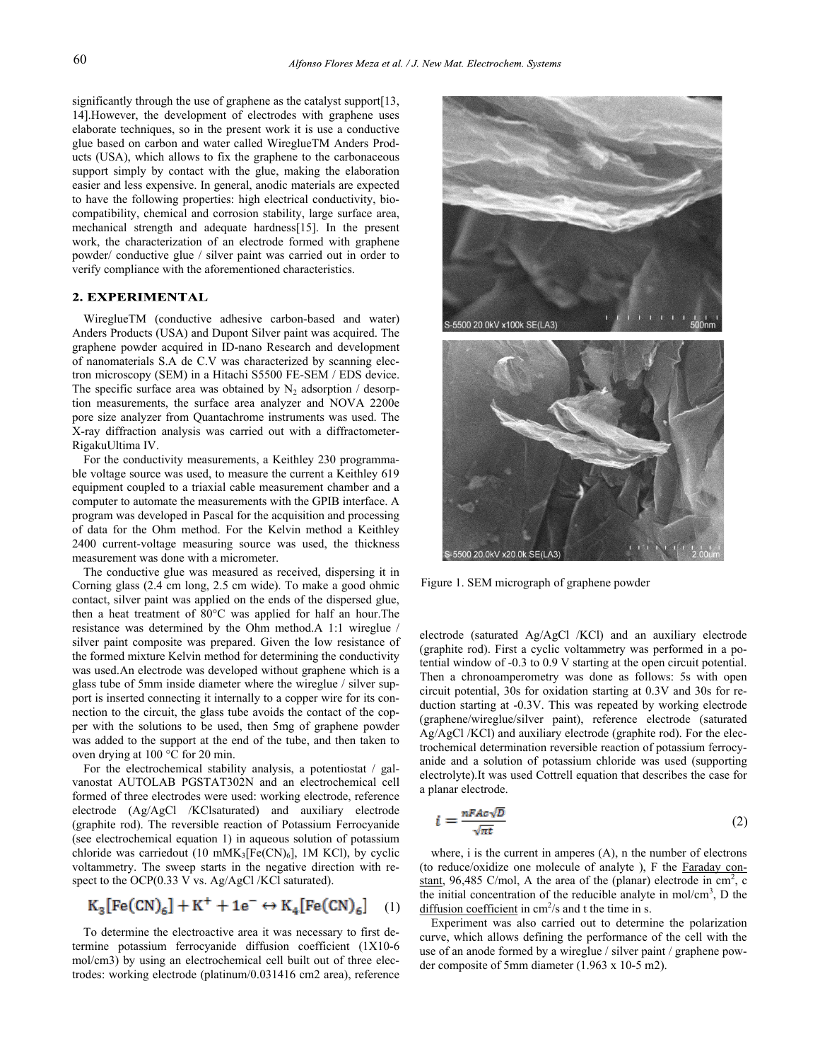significantly through the use of graphene as the catalyst support[13, 14].However, the development of electrodes with graphene uses elaborate techniques, so in the present work it is use a conductive glue based on carbon and water called WireglueTM Anders Products (USA), which allows to fix the graphene to the carbonaceous support simply by contact with the glue, making the elaboration easier and less expensive. In general, anodic materials are expected to have the following properties: high electrical conductivity, biocompatibility, chemical and corrosion stability, large surface area, mechanical strength and adequate hardness[15]. In the present work, the characterization of an electrode formed with graphene powder/ conductive glue / silver paint was carried out in order to verify compliance with the aforementioned characteristics.

## 2. EXPERIMENTAL

WireglueTM (conductive adhesive carbon-based and water) Anders Products (USA) and Dupont Silver paint was acquired. The graphene powder acquired in ID-nano Research and development of nanomaterials S.A de C.V was characterized by scanning electron microscopy (SEM) in a Hitachi S5500 FE-SEM / EDS device. The specific surface area was obtained by  $N_2$  adsorption / desorption measurements, the surface area analyzer and NOVA 2200e pore size analyzer from Quantachrome instruments was used. The X-ray diffraction analysis was carried out with a diffractometer-RigakuUltima IV.

For the conductivity measurements, a Keithley 230 programmable voltage source was used, to measure the current a Keithley 619 equipment coupled to a triaxial cable measurement chamber and a computer to automate the measurements with the GPIB interface. A program was developed in Pascal for the acquisition and processing of data for the Ohm method. For the Kelvin method a Keithley 2400 current-voltage measuring source was used, the thickness measurement was done with a micrometer.

The conductive glue was measured as received, dispersing it in Corning glass (2.4 cm long, 2.5 cm wide). To make a good ohmic contact, silver paint was applied on the ends of the dispersed glue, then a heat treatment of 80°C was applied for half an hour.The resistance was determined by the Ohm method.A 1:1 wireglue / silver paint composite was prepared. Given the low resistance of the formed mixture Kelvin method for determining the conductivity was used.An electrode was developed without graphene which is a glass tube of 5mm inside diameter where the wireglue / silver support is inserted connecting it internally to a copper wire for its connection to the circuit, the glass tube avoids the contact of the copper with the solutions to be used, then 5mg of graphene powder was added to the support at the end of the tube, and then taken to oven drying at 100 °C for 20 min.

For the electrochemical stability analysis, a potentiostat / galvanostat AUTOLAB PGSTAT302N and an electrochemical cell formed of three electrodes were used: working electrode, reference electrode (Ag/AgCl /KClsaturated) and auxiliary electrode (graphite rod). The reversible reaction of Potassium Ferrocyanide (see electrochemical equation 1) in aqueous solution of potassium chloride was carriedout (10 mMK<sub>3</sub>[Fe(CN)<sub>6</sub>], 1M KCl), by cyclic voltammetry. The sweep starts in the negative direction with respect to the OCP(0.33 V vs. Ag/AgCl /KCl saturated).

$$
K_3[Fe(CN)_6] + K^+ + 1e^- \leftrightarrow K_4[Fe(CN)_6] \quad (1)
$$

To determine the electroactive area it was necessary to first determine potassium ferrocyanide diffusion coefficient (1X10-6 mol/cm3) by using an electrochemical cell built out of three electrodes: working electrode (platinum/0.031416 cm2 area), reference





Figure 1. SEM micrograph of graphene powder

electrode (saturated Ag/AgCl /KCl) and an auxiliary electrode (graphite rod). First a cyclic voltammetry was performed in a potential window of -0.3 to 0.9 V starting at the open circuit potential. Then a chronoamperometry was done as follows: 5s with open circuit potential, 30s for oxidation starting at 0.3V and 30s for reduction starting at -0.3V. This was repeated by working electrode (graphene/wireglue/silver paint), reference electrode (saturated Ag/AgCl /KCl) and auxiliary electrode (graphite rod). For the electrochemical determination reversible reaction of potassium ferrocyanide and a solution of potassium chloride was used (supporting electrolyte).It was used Cottrell equation that describes the case for a planar electrode.

$$
i = \frac{nFAc\sqrt{D}}{\sqrt{\pi t}}\tag{2}
$$

where, i is the current in amperes (A), n the number of electrons (to reduce/oxidize one molecule of analyte ), F the [Faraday con](https://en.wikipedia.org/wiki/Faraday_constant)[stant,](https://en.wikipedia.org/wiki/Faraday_constant) 96,485 C/mol, A the area of the (planar) electrode in  $cm<sup>2</sup>$ , c the initial concentration of the reducible analyte in mol/cm<sup>3</sup>, D the [diffusion coefficient](https://en.wikipedia.org/wiki/Fick%27s_law_of_diffusion) in  $cm^2/s$  and t the time in s.

Experiment was also carried out to determine the polarization curve, which allows defining the performance of the cell with the use of an anode formed by a wireglue / silver paint / graphene powder composite of 5mm diameter (1.963 x 10-5 m2).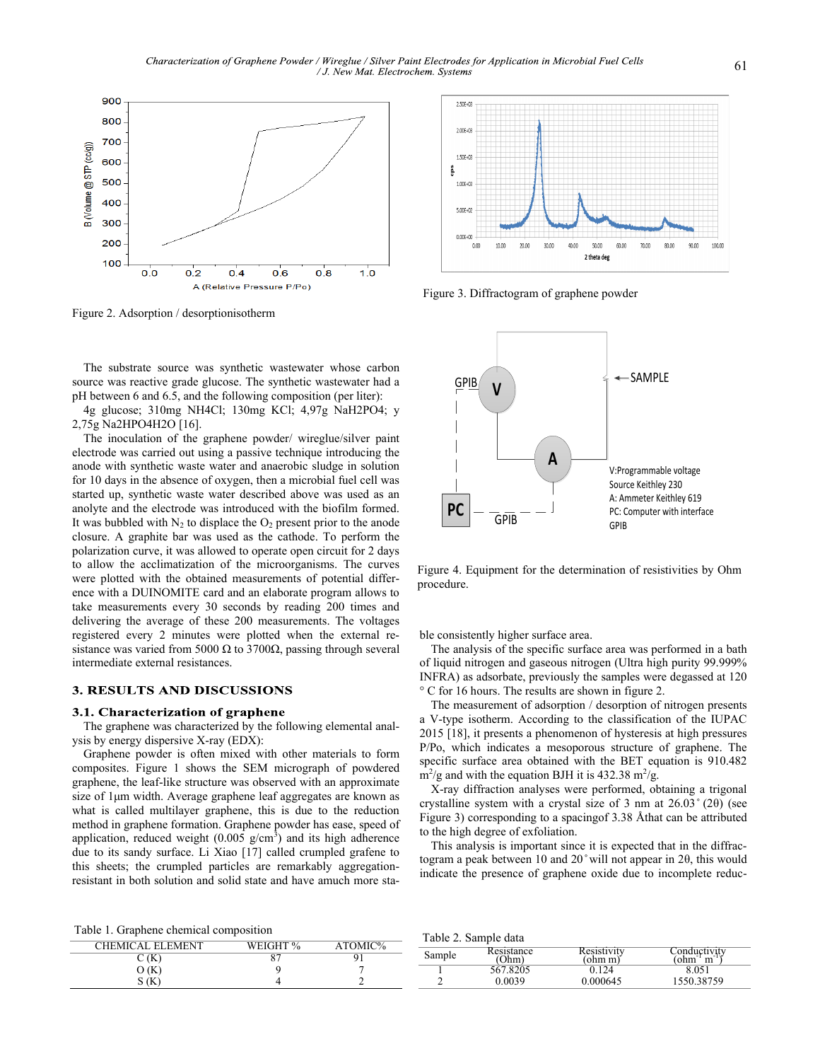

Figure 2. Adsorption / desorptionisotherm

The substrate source was synthetic wastewater whose carbon source was reactive grade glucose. The synthetic wastewater had a pH between 6 and 6.5, and the following composition (per liter):

4g glucose; 310mg NH4Cl; 130mg KCl; 4,97g NaH2PO4; y 2,75g Na2HPO4H2O [16].

The inoculation of the graphene powder/ wireglue/silver paint electrode was carried out using a passive technique introducing the anode with synthetic waste water and anaerobic sludge in solution for 10 days in the absence of oxygen, then a microbial fuel cell was started up, synthetic waste water described above was used as an anolyte and the electrode was introduced with the biofilm formed. It was bubbled with  $N_2$  to displace the  $O_2$  present prior to the anode closure. A graphite bar was used as the cathode. To perform the polarization curve, it was allowed to operate open circuit for 2 days to allow the acclimatization of the microorganisms. The curves were plotted with the obtained measurements of potential difference with a DUINOMITE card and an elaborate program allows to take measurements every 30 seconds by reading 200 times and delivering the average of these 200 measurements. The voltages registered every 2 minutes were plotted when the external resistance was varied from 5000  $\Omega$  to 3700 $\Omega$ , passing through several intermediate external resistances.

#### **3. RESULTS AND DISCUSSIONS**

#### 3.1. Characterization of graphene

The graphene was characterized by the following elemental analysis by energy dispersive X-ray (EDX):

Graphene powder is often mixed with other materials to form composites. Figure 1 shows the SEM micrograph of powdered graphene, the leaf-like structure was observed with an approximate size of 1μm width. Average graphene leaf aggregates are known as what is called multilayer graphene, this is due to the reduction method in graphene formation. Graphene powder has ease, speed of application, reduced weight  $(0.005 \text{ g/cm}^3)$  and its high adherence due to its sandy surface. Li Xiao [17] called crumpled grafene to this sheets; the crumpled particles are remarkably aggregationresistant in both solution and solid state and have amuch more sta-



Figure 3. Diffractogram of graphene powder



Figure 4. Equipment for the determination of resistivities by Ohm procedure.

ble consistently higher surface area.

The analysis of the specific surface area was performed in a bath of liquid nitrogen and gaseous nitrogen (Ultra high purity 99.999% INFRA) as adsorbate, previously the samples were degassed at 120 ° C for 16 hours. The results are shown in figure 2.

The measurement of adsorption / desorption of nitrogen presents a V-type isotherm. According to the classification of the IUPAC 2015 [18], it presents a phenomenon of hysteresis at high pressures P/Po, which indicates a mesoporous structure of graphene. The specific surface area obtained with the BET equation is 910.482  $\text{m}^2/\text{g}$  and with the equation BJH it is 432.38 m<sup>2</sup>/g.

X-ray diffraction analyses were performed, obtaining a trigonal crystalline system with a crystal size of 3 nm at 26.03 ̊ (2θ) (see Figure 3) corresponding to a spacingof 3.38 Åthat can be attributed to the high degree of exfoliation.

This analysis is important since it is expected that in the diffractogram a peak between 10 and  $20^{\circ}$  will not appear in 2 $\theta$ , this would indicate the presence of graphene oxide due to incomplete reduc-

Table 1. Graphene chemical composition

| CHEMICAL ELEMENT | WEIGHT % | $ATOMIC\%$ |
|------------------|----------|------------|
| C (K             | ດ        |            |
|                  |          |            |
| ັ                |          |            |

Table 2. Sample data

| Sample | Resistance | Resistivity | Conductivity |  |
|--------|------------|-------------|--------------|--|
|        |            | 'ohm m)     | ohm<br>m     |  |
|        | 567.8205   |             |              |  |
|        | ).0039     | 0.000645    | 1550.38759   |  |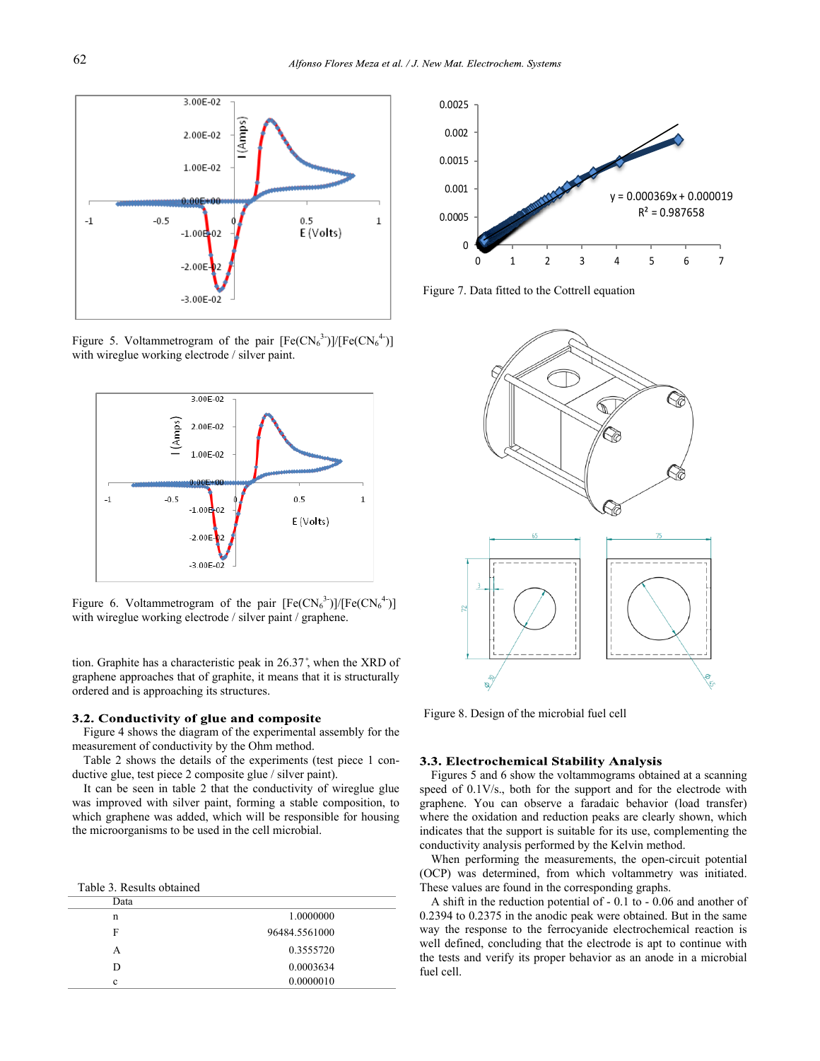

Figure 5. Voltammetrogram of the pair  $[Fe(CN_6^3)]/[Fe(CN_6^4)]$ with wireglue working electrode / silver paint.



Figure 6. Voltammetrogram of the pair  $[Fe(CN_6^3)]/[Fe(CN_6^4)]$ with wireglue working electrode / silver paint / graphene.

tion. Graphite has a characteristic peak in 26.37 ̊, when the XRD of graphene approaches that of graphite, it means that it is structurally ordered and is approaching its structures.

#### 3.2. Conductivity of glue and composite

Figure 4 shows the diagram of the experimental assembly for the measurement of conductivity by the Ohm method.

Table 2 shows the details of the experiments (test piece 1 conductive glue, test piece 2 composite glue / silver paint).

It can be seen in table 2 that the conductivity of wireglue glue was improved with silver paint, forming a stable composition, to which graphene was added, which will be responsible for housing the microorganisms to be used in the cell microbial.

Table 3. Results obtained

| Data |               |
|------|---------------|
| n    | 1.0000000     |
| F    | 96484.5561000 |
| А    | 0.3555720     |
| D    | 0.0003634     |
| c    | 0.0000010     |
|      |               |



Figure 7. Data fitted to the Cottrell equation



Figure 8. Design of the microbial fuel cell

## 3.3. Electrochemical Stability Analysis

Figures 5 and 6 show the voltammograms obtained at a scanning speed of 0.1V/s., both for the support and for the electrode with graphene. You can observe a faradaic behavior (load transfer) where the oxidation and reduction peaks are clearly shown, which indicates that the support is suitable for its use, complementing the conductivity analysis performed by the Kelvin method.

When performing the measurements, the open-circuit potential (OCP) was determined, from which voltammetry was initiated. These values are found in the corresponding graphs.

A shift in the reduction potential of - 0.1 to - 0.06 and another of 0.2394 to 0.2375 in the anodic peak were obtained. But in the same way the response to the ferrocyanide electrochemical reaction is well defined, concluding that the electrode is apt to continue with the tests and verify its proper behavior as an anode in a microbial fuel cell.